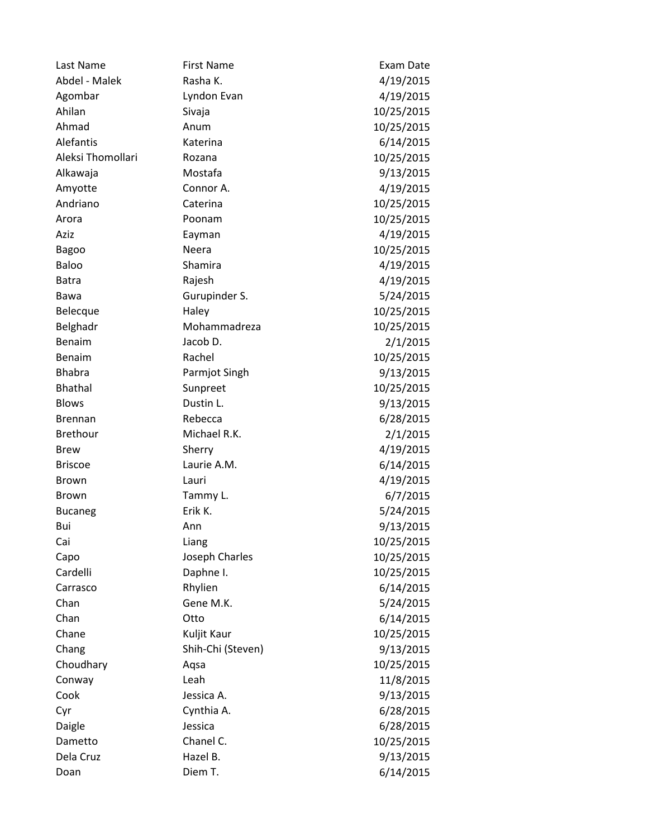| Last Name         | <b>First Name</b> | Exam Date  |
|-------------------|-------------------|------------|
| Abdel - Malek     | Rasha K.          | 4/19/2015  |
| Agombar           | Lyndon Evan       | 4/19/2015  |
| Ahilan            | Sivaja            | 10/25/2015 |
| Ahmad             | Anum              | 10/25/2015 |
| Alefantis         | Katerina          | 6/14/2015  |
| Aleksi Thomollari | Rozana            | 10/25/2015 |
| Alkawaja          | Mostafa           | 9/13/2015  |
| Amyotte           | Connor A.         | 4/19/2015  |
| Andriano          | Caterina          | 10/25/2015 |
| Arora             | Poonam            | 10/25/2015 |
| Aziz              | Eayman            | 4/19/2015  |
| <b>Bagoo</b>      | Neera             | 10/25/2015 |
| Baloo             | Shamira           | 4/19/2015  |
| <b>Batra</b>      | Rajesh            | 4/19/2015  |
| Bawa              | Gurupinder S.     | 5/24/2015  |
| Belecque          | Haley             | 10/25/2015 |
| Belghadr          | Mohammadreza      | 10/25/2015 |
| Benaim            | Jacob D.          | 2/1/2015   |
| Benaim            | Rachel            | 10/25/2015 |
| <b>Bhabra</b>     | Parmjot Singh     | 9/13/2015  |
| <b>Bhathal</b>    | Sunpreet          | 10/25/2015 |
| <b>Blows</b>      | Dustin L.         | 9/13/2015  |
| <b>Brennan</b>    | Rebecca           | 6/28/2015  |
| <b>Brethour</b>   | Michael R.K.      | 2/1/2015   |
| <b>Brew</b>       | Sherry            | 4/19/2015  |
| <b>Briscoe</b>    | Laurie A.M.       | 6/14/2015  |
| <b>Brown</b>      | Lauri             | 4/19/2015  |
| Brown             | Tammy L.          | 6/7/2015   |
| <b>Bucaneg</b>    | Erik K.           | 5/24/2015  |
| Bui               | Ann               | 9/13/2015  |
| Cai               | Liang             | 10/25/2015 |
| Capo              | Joseph Charles    | 10/25/2015 |
| Cardelli          | Daphne I.         | 10/25/2015 |
| Carrasco          | Rhylien           | 6/14/2015  |
| Chan              | Gene M.K.         | 5/24/2015  |
| Chan              | Otto              | 6/14/2015  |
| Chane             | Kuljit Kaur       | 10/25/2015 |
| Chang             | Shih-Chi (Steven) | 9/13/2015  |
| Choudhary         | Aqsa              | 10/25/2015 |
| Conway            | Leah              | 11/8/2015  |
| Cook              | Jessica A.        | 9/13/2015  |
| Cyr               | Cynthia A.        | 6/28/2015  |
| Daigle            | Jessica           | 6/28/2015  |
| Dametto           | Chanel C.         | 10/25/2015 |
| Dela Cruz         | Hazel B.          | 9/13/2015  |
| Doan              | Diem T.           | 6/14/2015  |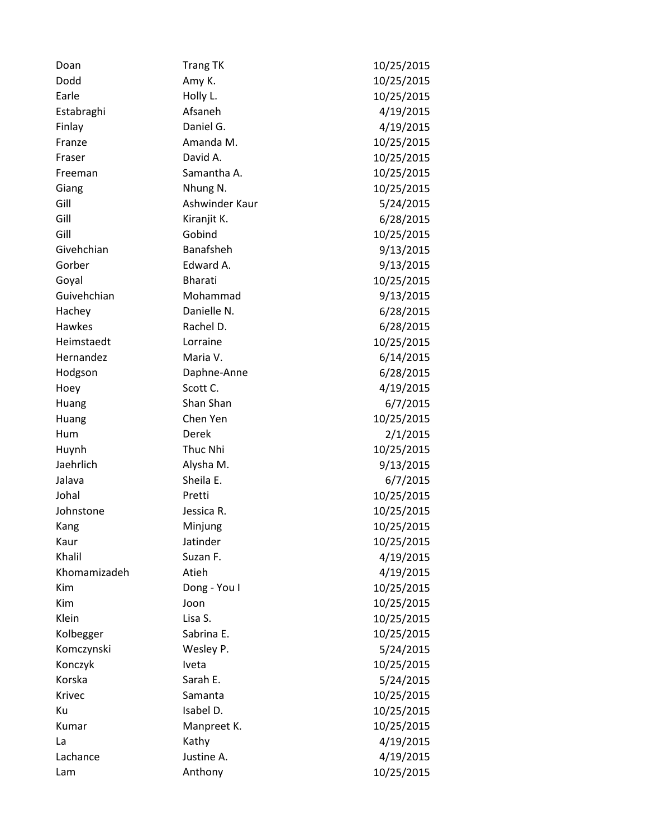| Doan         | <b>Trang TK</b> | 10/25/2015 |
|--------------|-----------------|------------|
| Dodd         | Amy K.          | 10/25/2015 |
| Earle        | Holly L.        | 10/25/2015 |
| Estabraghi   | Afsaneh         | 4/19/2015  |
| Finlay       | Daniel G.       | 4/19/2015  |
| Franze       | Amanda M.       | 10/25/2015 |
| Fraser       | David A.        | 10/25/2015 |
| Freeman      | Samantha A.     | 10/25/2015 |
| Giang        | Nhung N.        | 10/25/2015 |
| Gill         | Ashwinder Kaur  | 5/24/2015  |
| Gill         | Kiranjit K.     | 6/28/2015  |
| Gill         | Gobind          | 10/25/2015 |
| Givehchian   | Banafsheh       | 9/13/2015  |
| Gorber       | Edward A.       | 9/13/2015  |
| Goyal        | <b>Bharati</b>  | 10/25/2015 |
| Guivehchian  | Mohammad        | 9/13/2015  |
| Hachey       | Danielle N.     | 6/28/2015  |
| Hawkes       | Rachel D.       | 6/28/2015  |
| Heimstaedt   | Lorraine        | 10/25/2015 |
| Hernandez    | Maria V.        | 6/14/2015  |
| Hodgson      | Daphne-Anne     | 6/28/2015  |
| Hoey         | Scott C.        | 4/19/2015  |
| Huang        | Shan Shan       | 6/7/2015   |
| Huang        | Chen Yen        | 10/25/2015 |
| Hum          | Derek           | 2/1/2015   |
| Huynh        | Thuc Nhi        | 10/25/2015 |
| Jaehrlich    | Alysha M.       | 9/13/2015  |
| Jalava       | Sheila E.       | 6/7/2015   |
| Johal        | Pretti          | 10/25/2015 |
| Johnstone    | Jessica R.      | 10/25/2015 |
| Kang         | Minjung         | 10/25/2015 |
| Kaur         | Jatinder        | 10/25/2015 |
| Khalil       | Suzan F.        | 4/19/2015  |
| Khomamizadeh | Atieh           | 4/19/2015  |
| Kim          | Dong - You I    | 10/25/2015 |
| Kim          | Joon            | 10/25/2015 |
| Klein        | Lisa S.         | 10/25/2015 |
| Kolbegger    | Sabrina E.      | 10/25/2015 |
| Komczynski   | Wesley P.       | 5/24/2015  |
| Konczyk      | Iveta           | 10/25/2015 |
| Korska       | Sarah E.        | 5/24/2015  |
| Krivec       | Samanta         | 10/25/2015 |
| Ku           | Isabel D.       | 10/25/2015 |
| Kumar        | Manpreet K.     | 10/25/2015 |
| La           | Kathy           | 4/19/2015  |
| Lachance     | Justine A.      | 4/19/2015  |
| Lam          | Anthony         | 10/25/2015 |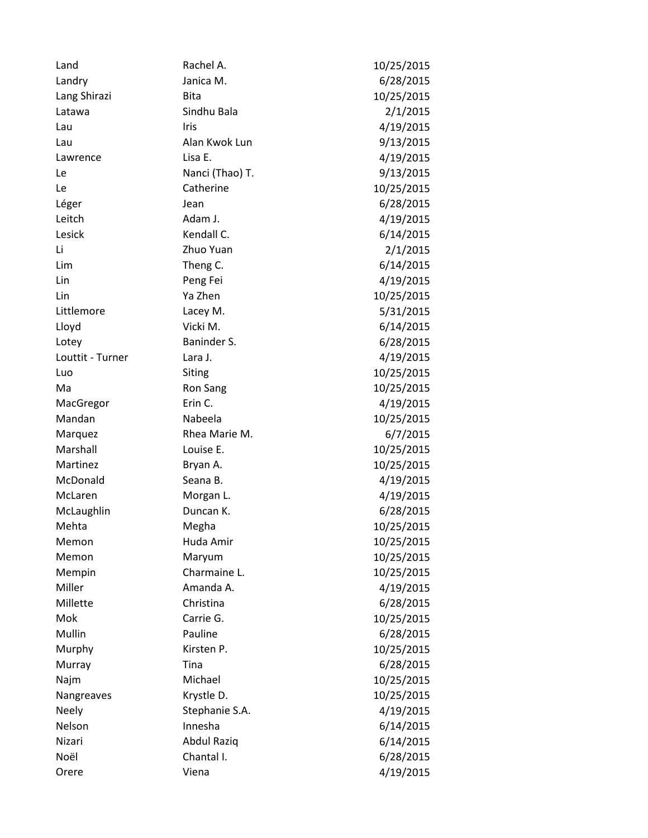| Land             | Rachel A.          | 10/25/2015 |
|------------------|--------------------|------------|
| Landry           | Janica M.          | 6/28/2015  |
| Lang Shirazi     | Bita               | 10/25/2015 |
| Latawa           | Sindhu Bala        | 2/1/2015   |
| Lau              | Iris               | 4/19/2015  |
| Lau              | Alan Kwok Lun      | 9/13/2015  |
| Lawrence         | Lisa E.            | 4/19/2015  |
| Le               | Nanci (Thao) T.    | 9/13/2015  |
| Le               | Catherine          | 10/25/2015 |
| Léger            | Jean               | 6/28/2015  |
| Leitch           | Adam J.            | 4/19/2015  |
| Lesick           | Kendall C.         | 6/14/2015  |
| Li               | Zhuo Yuan          | 2/1/2015   |
| Lim              | Theng C.           | 6/14/2015  |
| Lin              | Peng Fei           | 4/19/2015  |
| Lin              | Ya Zhen            | 10/25/2015 |
| Littlemore       | Lacey M.           | 5/31/2015  |
| Lloyd            | Vicki M.           | 6/14/2015  |
| Lotey            | Baninder S.        | 6/28/2015  |
| Louttit - Turner | Lara J.            | 4/19/2015  |
| Luo              | <b>Siting</b>      | 10/25/2015 |
| Ma               | Ron Sang           | 10/25/2015 |
| MacGregor        | Erin C.            | 4/19/2015  |
| Mandan           | Nabeela            | 10/25/2015 |
| Marquez          | Rhea Marie M.      | 6/7/2015   |
| Marshall         | Louise E.          | 10/25/2015 |
| Martinez         | Bryan A.           | 10/25/2015 |
| McDonald         | Seana B.           | 4/19/2015  |
| McLaren          | Morgan L.          | 4/19/2015  |
| McLaughlin       | Duncan K.          | 6/28/2015  |
| Mehta            | Megha              | 10/25/2015 |
| Memon            | Huda Amir          | 10/25/2015 |
| Memon            | Maryum             | 10/25/2015 |
| Mempin           | Charmaine L.       | 10/25/2015 |
| Miller           | Amanda A.          | 4/19/2015  |
| Millette         | Christina          | 6/28/2015  |
| Mok              | Carrie G.          | 10/25/2015 |
| Mullin           | Pauline            | 6/28/2015  |
| Murphy           | Kirsten P.         | 10/25/2015 |
| Murray           | Tina               | 6/28/2015  |
| Najm             | Michael            | 10/25/2015 |
| Nangreaves       | Krystle D.         | 10/25/2015 |
| Neely            | Stephanie S.A.     | 4/19/2015  |
| Nelson           | Innesha            | 6/14/2015  |
| Nizari           | <b>Abdul Raziq</b> | 6/14/2015  |
| Noël             | Chantal I.         | 6/28/2015  |
| Orere            | Viena              | 4/19/2015  |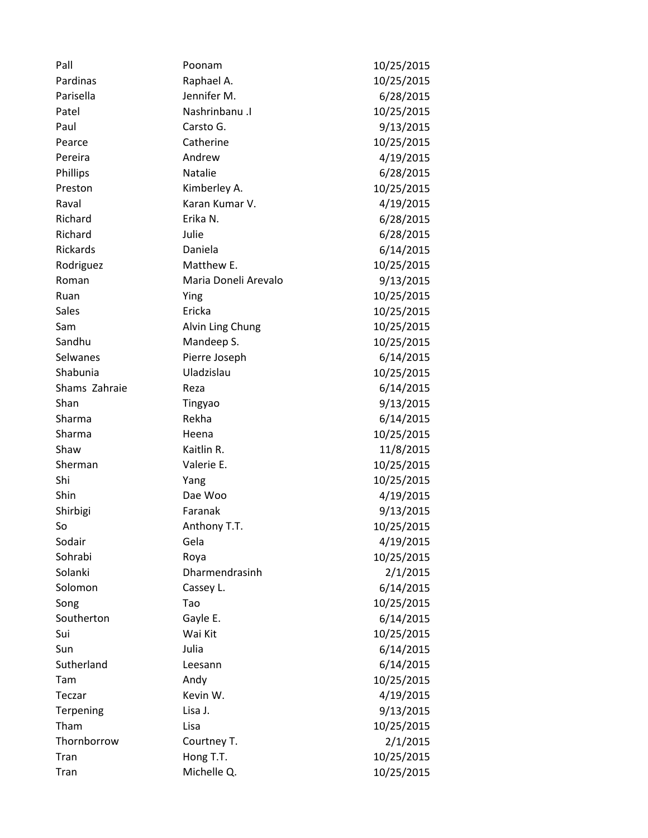| Pall          | Poonam               | 10/25/2015 |
|---------------|----------------------|------------|
| Pardinas      | Raphael A.           | 10/25/2015 |
| Parisella     | Jennifer M.          | 6/28/2015  |
| Patel         | Nashrinbanu .I       | 10/25/2015 |
| Paul          | Carsto G.            | 9/13/2015  |
| Pearce        | Catherine            | 10/25/2015 |
| Pereira       | Andrew               | 4/19/2015  |
| Phillips      | Natalie              | 6/28/2015  |
| Preston       | Kimberley A.         | 10/25/2015 |
| Raval         | Karan Kumar V.       | 4/19/2015  |
| Richard       | Erika N.             | 6/28/2015  |
| Richard       | Julie                | 6/28/2015  |
| Rickards      | Daniela              | 6/14/2015  |
| Rodriguez     | Matthew E.           | 10/25/2015 |
| Roman         | Maria Doneli Arevalo | 9/13/2015  |
| Ruan          | Ying                 | 10/25/2015 |
| <b>Sales</b>  | Ericka               | 10/25/2015 |
| Sam           | Alvin Ling Chung     | 10/25/2015 |
| Sandhu        | Mandeep S.           | 10/25/2015 |
| Selwanes      | Pierre Joseph        | 6/14/2015  |
| Shabunia      | Uladzislau           | 10/25/2015 |
| Shams Zahraie | Reza                 | 6/14/2015  |
| Shan          | Tingyao              | 9/13/2015  |
| Sharma        | Rekha                | 6/14/2015  |
| Sharma        | Heena                | 10/25/2015 |
| Shaw          | Kaitlin R.           | 11/8/2015  |
| Sherman       | Valerie E.           | 10/25/2015 |
| Shi           | Yang                 | 10/25/2015 |
| Shin          | Dae Woo              | 4/19/2015  |
| Shirbigi      | Faranak              | 9/13/2015  |
| So            | Anthony T.T.         | 10/25/2015 |
| Sodair        | Gela                 | 4/19/2015  |
| Sohrabi       | Roya                 | 10/25/2015 |
| Solanki       | Dharmendrasinh       | 2/1/2015   |
| Solomon       | Cassey L.            | 6/14/2015  |
| Song          | Tao                  | 10/25/2015 |
| Southerton    | Gayle E.             | 6/14/2015  |
| Sui           | Wai Kit              | 10/25/2015 |
| Sun           | Julia                | 6/14/2015  |
| Sutherland    | Leesann              | 6/14/2015  |
| Tam           | Andy                 | 10/25/2015 |
| Teczar        | Kevin W.             | 4/19/2015  |
| Terpening     | Lisa J.              | 9/13/2015  |
| Tham          | Lisa                 | 10/25/2015 |
| Thornborrow   | Courtney T.          | 2/1/2015   |
| Tran          | Hong T.T.            | 10/25/2015 |
| Tran          | Michelle Q.          | 10/25/2015 |